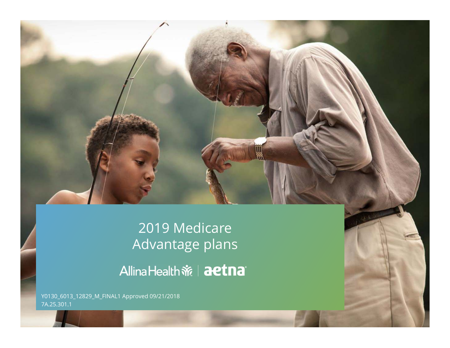

## 2019 Medicare Advantage plans

Y0130\_6013\_12829\_M\_FINAL1 Approved 09/21/2018 7A.25.301.1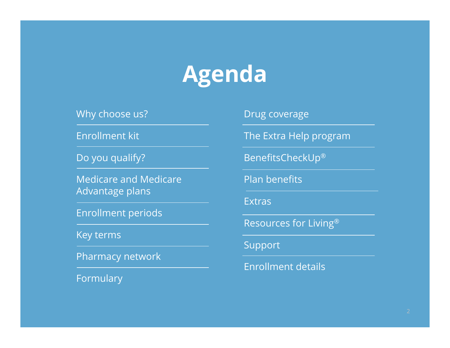# **Agenda**

Why choose us?

Enrollment kit

Do you qualify?

Medicare and Medicare Advantage plans

Enrollment periods

Key terms

Pharmacy network

Formulary

Drug coverage

The Extra Help program

BenefitsCheckUp®

Plan benefits

Extras

Resources for Living®

Support

Enrollment details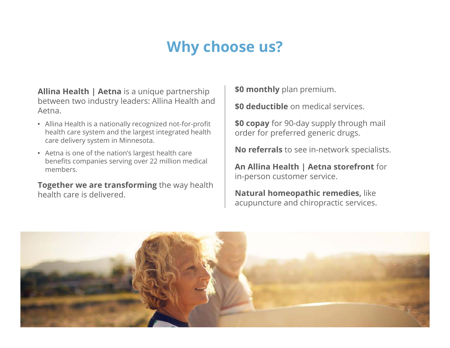## **Why choose us?**

**Allina Health | Aetna** is a unique partnership between two industry leaders: Allina Health and Aetna.

- Allina Health is a nationally recognized not-for-profit health care system and the largest integrated health care delivery system in Minnesota.
- Aetna is one of the nation's largest health care benefits companies serving over 22 million medical members.

**Together we are transforming** the way health health care is delivered.

**\$0 monthly** plan premium.

**\$0 deductible** on medical services.

**\$0 copay** for 90-day supply through mail order for preferred generic drugs.

**No referrals** to see in-network specialists.

**An Allina Health | Aetna storefront** for in-person customer service.

**Natural homeopathic remedies,** like acupuncture and chiropractic services.

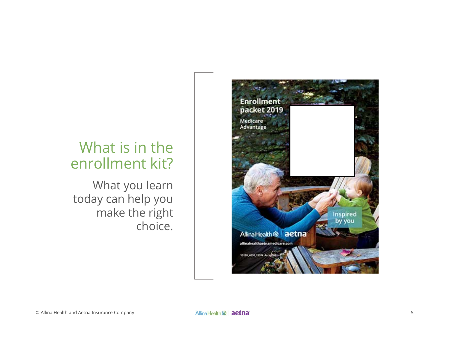### What is in the enrollment kit?

What you learn today can help you make the right choice.

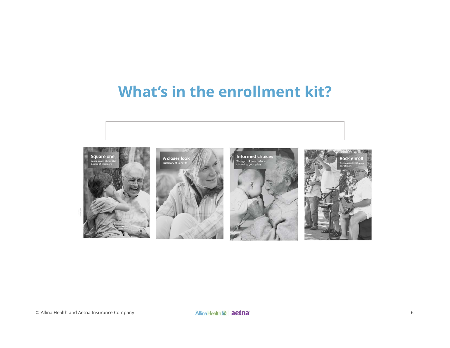## **What's in the enrollment kit?**

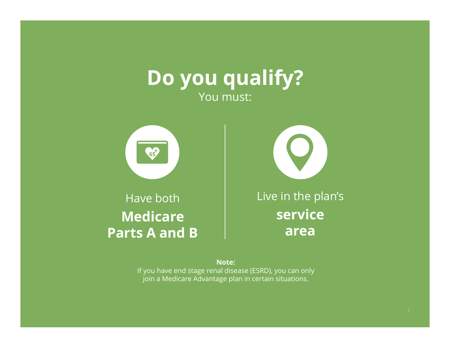## **Do you qualify?** You must:



#### Have both **Medicare Parts A and B**

Live in the plan's **service area** 

**Note:**  If you have end stage renal disease (ESRD), you can only join a Medicare Advantage plan in certain situations.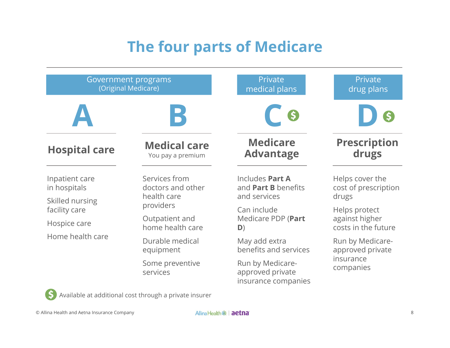## **The four parts of Medicare**

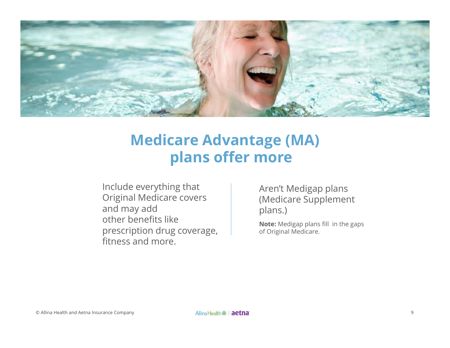

## **Medicare Advantage (MA) plans offer more**

Include everything that Original Medicare covers and may add other benefits like prescription drug coverage, fitness and more.

Aren't Medigap plans (Medicare Supplement plans.)

**Note:** Medigap plans fill in the gaps of Original Medicare.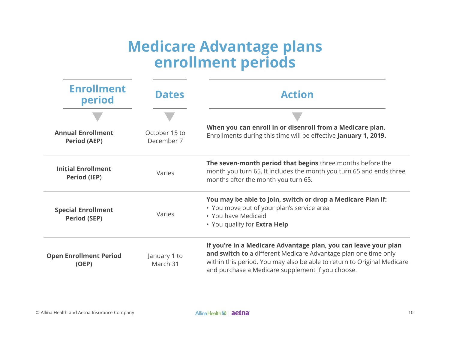### **Medicare Advantage plans enrollment periods**

| <b>Enrollment</b><br>period                      | <b>Dates</b>                | <b>Action</b>                                                                                                                                                                                                                                                      |  |
|--------------------------------------------------|-----------------------------|--------------------------------------------------------------------------------------------------------------------------------------------------------------------------------------------------------------------------------------------------------------------|--|
|                                                  |                             |                                                                                                                                                                                                                                                                    |  |
| <b>Annual Enrollment</b><br><b>Period (AEP)</b>  | October 15 to<br>December 7 | When you can enroll in or disenroll from a Medicare plan.<br>Enrollments during this time will be effective January 1, 2019.                                                                                                                                       |  |
| <b>Initial Enrollment</b><br><b>Period (IEP)</b> | Varies                      | The seven-month period that begins three months before the<br>month you turn 65. It includes the month you turn 65 and ends three<br>months after the month you turn 65.                                                                                           |  |
| <b>Special Enrollment</b><br><b>Period (SEP)</b> | Varies                      | You may be able to join, switch or drop a Medicare Plan if:<br>• You move out of your plan's service area<br>• You have Medicaid<br>• You qualify for <b>Extra Help</b>                                                                                            |  |
| <b>Open Enrollment Period</b><br>(OEP)           | January 1 to<br>March 31    | If you're in a Medicare Advantage plan, you can leave your plan<br>and switch to a different Medicare Advantage plan one time only<br>within this period. You may also be able to return to Original Medicare<br>and purchase a Medicare supplement if you choose. |  |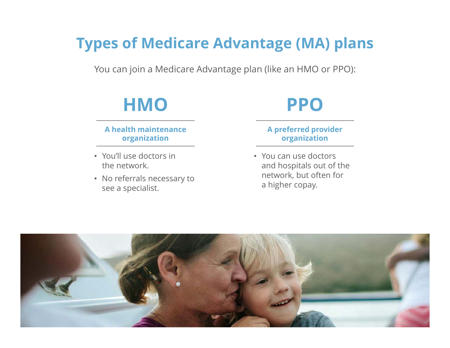## **Types of Medicare Advantage (MA) plans**

You can join a Medicare Advantage plan (like an HMO or PPO):

## **HMO**

#### **A health maintenance organization**

- You'll use doctors in the network.
- No referrals necessary to see a specialist.

## **PPO**

#### **A preferred provider organization**

• You can use doctors and hospitals out of the network, but often for a higher copay.

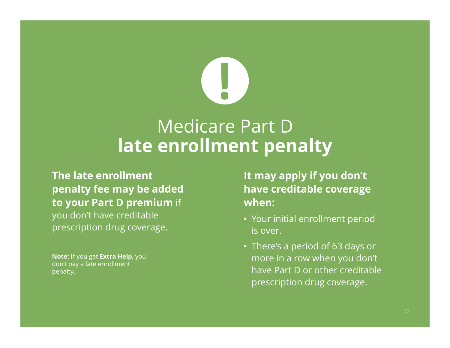## Medicare Part D **late enrollment penalty**

**The late enrollment penalty fee may be added to your Part D premium** if you don't have creditable prescription drug coverage.

**Note: I**f you get **Extra Help**, you don't pay a late enrollment penalty.

**It may apply if you don't have creditable coverage when:** 

- Your initial enrollment period is over.
- There's a period of 63 days or more in a row when you don't have Part D or other creditable prescription drug coverage.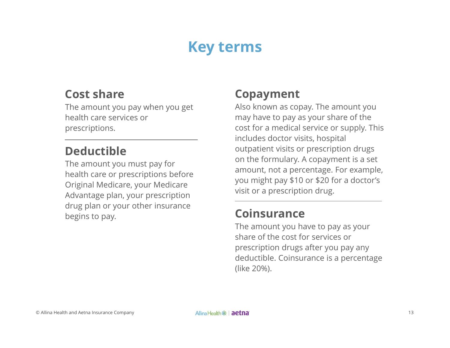## **Key terms**

#### **Cost share**

The amount you pay when you get health care services or prescriptions.

#### **Deductible**

The amount you must pay for health care or prescriptions before Original Medicare, your Medicare Advantage plan, your prescription drug plan or your other insurance begins to pay.

#### **Copayment**

Also known as copay. The amount you may have to pay as your share of the cost for a medical service or supply. This includes doctor visits, hospital outpatient visits or prescription drugs on the formulary. A copayment is a set amount, not a percentage. For example, you might pay \$10 or \$20 for a doctor's visit or a prescription drug.

#### **Coinsurance**

The amount you have to pay as your share of the cost for services or prescription drugs after you pay any deductible. Coinsurance is a percentage (like 20%).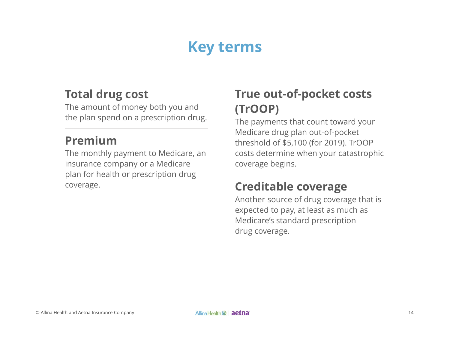## **Key terms**

#### **Total drug cost**

The amount of money both you and the plan spend on a prescription drug.

#### **Premium**

The monthly payment to Medicare, an insurance company or a Medicare plan for health or prescription drug coverage.

#### **True out-of-pocket costs (TrOOP)**

The payments that count toward your Medicare drug plan out-of-pocket threshold of \$5,100 (for 2019). TrOOP costs determine when your catastrophic coverage begins.

#### **Creditable coverage**

Another source of drug coverage that is expected to pay, at least as much as Medicare's standard prescription drug coverage.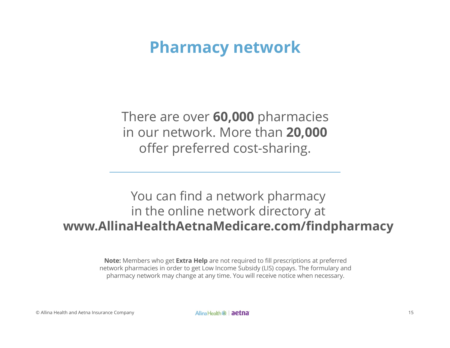## **Pharmacy network**

There are over **60,000** pharmacies in our network. More than **20,000** offer preferred cost-sharing.

#### You can find a network pharmacy in the online network directory at **www.AllinaHealthAetnaMedicare.com/findpharmacy**

**Note:** Members who get **Extra Help** are not required to fill prescriptions at preferred network pharmacies in order to get Low Income Subsidy (LIS) copays. The formulary and pharmacy network may change at any time. You will receive notice when necessary.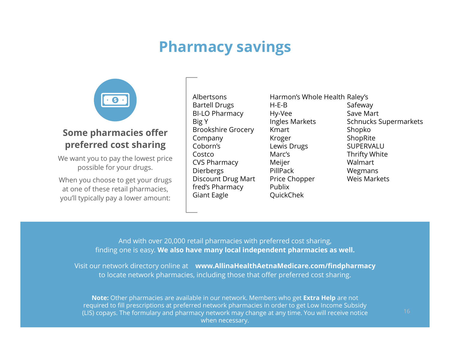## **Pharmacy savings**



#### **Some pharmacies offer preferred cost sharing**

We want you to pay the lowest price possible for your drugs.

When you choose to get your drugs at one of these retail pharmacies, you'll typically pay a lower amount:

Albertsons Bartell Drugs BI-LO Pharmacy Big Y Brookshire Grocery Company Coborn's Costco CVS Pharmacy Dierbergs Discount Drug Mart fred's Pharmacy Giant Eagle

Harmon's Whole Health Raley's H-E-B Hy-Vee Ingles Markets Kmart Kroger Lewis Drugs Marc's Meijer PillPack Price Chopper PublixQuickChek

Safeway Save Mart Schnucks Supermarkets Shopko ShopRite SUPERVALUThrifty White Walmart Wegmans Weis Markets

And with over 20,000 retail pharmacies with preferred cost sharing, finding one is easy. **We also have many local independent pharmacies as well.**

Visit our network directory online at **www.AllinaHealthAetnaMedicare.com/findpharmacy**  to locate network pharmacies, including those that offer preferred cost sharing.

(LIS) copays. The formulary and pharmacy network may change at any time. You will receive notice when we let **Note:** Other pharmacies are available in our network. Members who get **Extra Help** are not required to fill prescriptions at preferred network pharmacies in order to get Low Income Subsidy when necessary.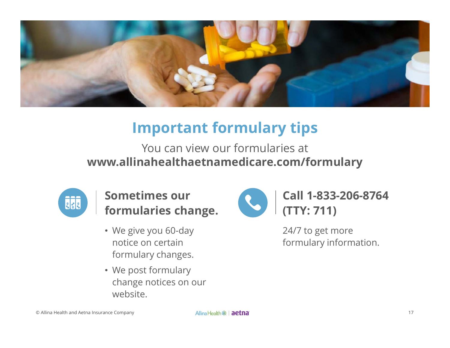

## **Important formulary tips**

You can view our formularies at **www.allinahealthaetnamedicare.com/formulary** 



**Sometimes our formularies change.** 

- We give you 60-day notice on certain formulary changes.
- We post formulary change notices on our website.



**Call 1-833-206-8764 (TTY: 711)** 

24/7 to get more formulary information.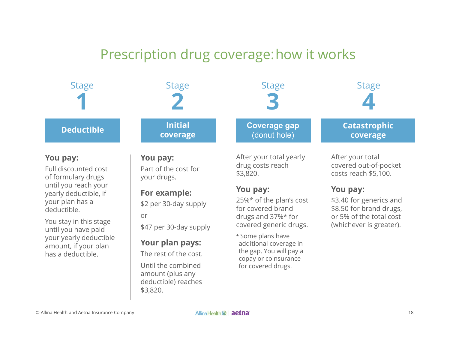#### Prescription drug coverage:how it works

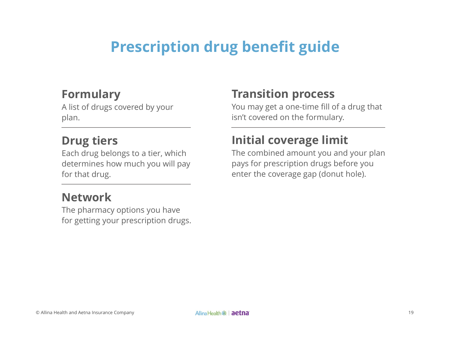## **Prescription drug benefit guide**

#### **Formulary**

A list of drugs covered by your plan.

#### **Drug tiers**

Each drug belongs to a tier, which determines how much you will pay for that drug.

#### **Network**

The pharmacy options you have for getting your prescription drugs.

#### **Transition process**

You may get a one-time fill of a drug that isn't covered on the formulary.

#### **Initial coverage limit**

The combined amount you and your plan pays for prescription drugs before you enter the coverage gap (donut hole).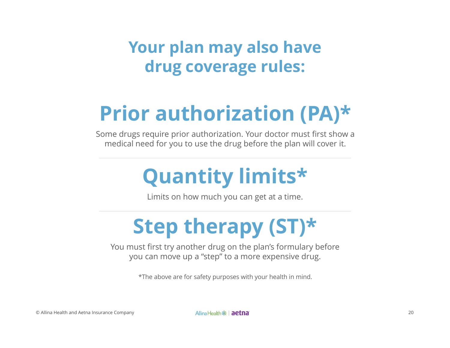## **Your plan may also have drug coverage rules:**

# **Prior authorization (PA)\***

Some drugs require prior authorization. Your doctor must first show a medical need for you to use the drug before the plan will cover it.

# **Quantity limits\***

Limits on how much you can get at a time.

# **Step therapy (ST)\***

You must first try another drug on the plan's formulary before you can move up a "step" to a more expensive drug.

\*The above are for safety purposes with your health in mind.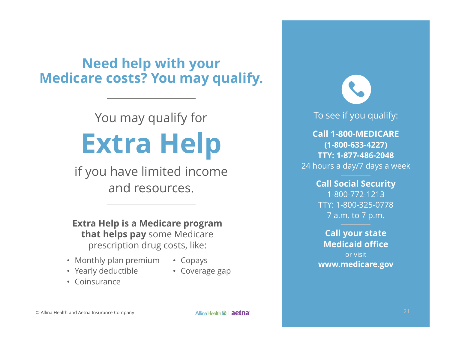#### **Need help with your Medicare costs? You may qualify.**

# You may qualify for **Extra Help**

if you have limited income and resources.

**Extra Help is a Medicare program that helps pay** some Medicare prescription drug costs, like:

- Monthly plan premium
- Copays
- Yearly deductible
- Coverage gap

• Coinsurance

To see if you qualify:

**Call 1-800-MEDICARE(1-800-633-4227) TTY: 1-877-486-2048**24 hours a day/7 days a week

#### **Call Social Security**  1-800-772-1213 TTY: 1-800-325-0778 7 a.m. to 7 p.m.

#### **Call your state Medicaid office** or visit **www.medicare.gov**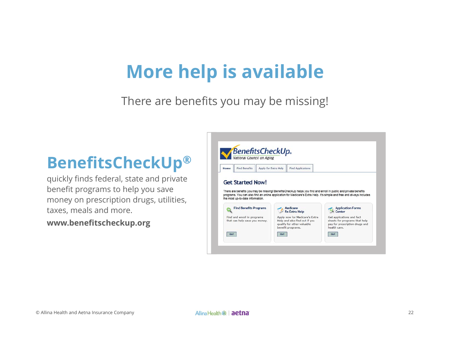# **More help is available**

There are benefits you may be missing!

## **BenefitsCheckUp ®**

quickly finds federal, state and private benefit programs to help you save money on prescription drugs, utilities, taxes, meals and more.

**www.benefitscheckup.org** 

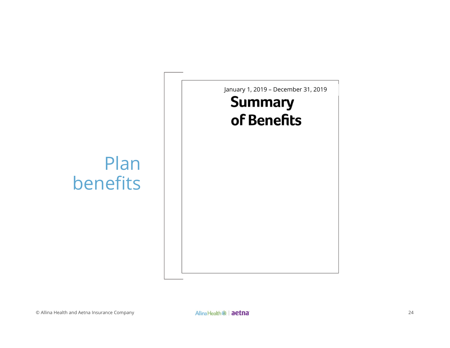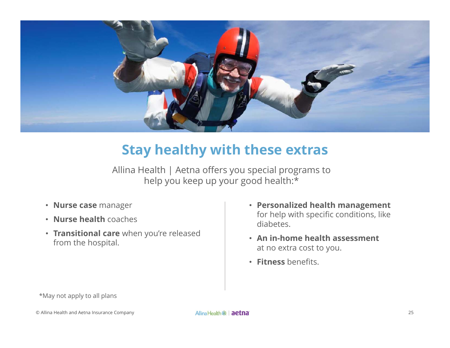

#### **Stay healthy with these extras**

Allina Health | Aetna offers you special programs to help you keep up your good health:\*

- **Nurse case** manager
- **Nurse health** coaches
- **Transitional care** when you're released from the hospital.
- **Personalized health management**  for help with specific conditions, like diabetes.
- **An in-home health assessment**  at no extra cost to you.
- **Fitness** benefits.

\*May not apply to all plans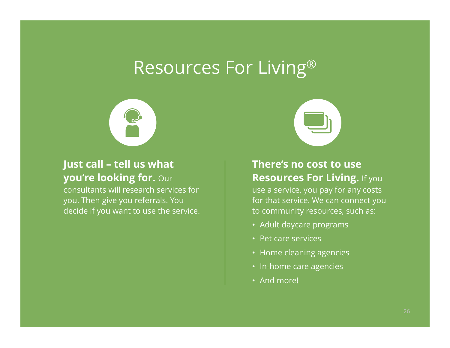## Resources For Living®



#### **Just call – tell us what you're looking for.** Our

consultants will research services for you. Then give you referrals. You decide if you want to use the service.



#### **There's no cost to use Resources For Living.** If you use a service, you pay for any costs for that service. We can connect you to community resources, such as:

- Adult daycare programs
- Pet care services
- Home cleaning agencies
- In-home care agencies
- And more!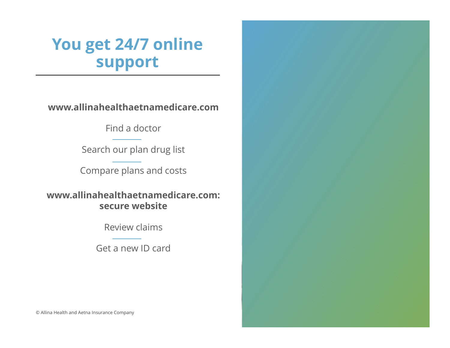## **You get 24/7 online support**

**www.allinahealthaetnamedicare.com** 

Find a doctor

Search our plan drug list

Compare plans and costs

**www.allinahealthaetnamedicare.com:secure website**

Review claims

Get a new ID card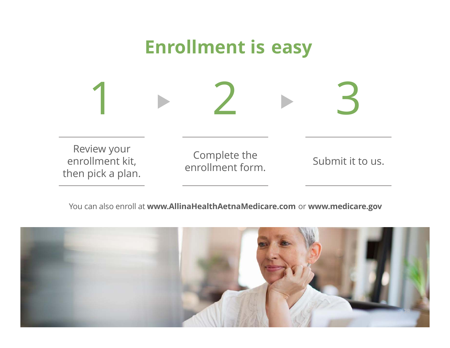

You can also enroll at **www.AllinaHealthAetnaMedicare.com** or **www.medicare.gov** 

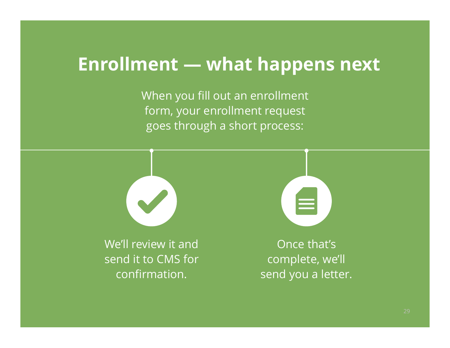## **Enrollment — what happens next**

When you fill out an enrollment form, your enrollment request goes through a short process:



We'll review it and send it to CMS for confirmation.



Once that's complete, we'll send you a letter.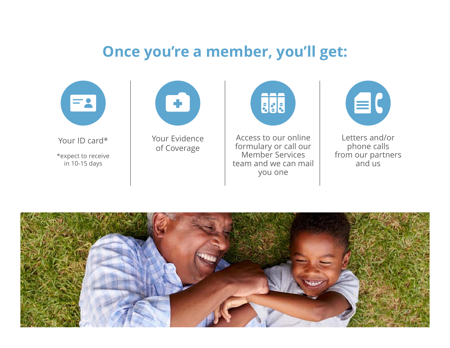#### **Once you're a member, you'll get:**



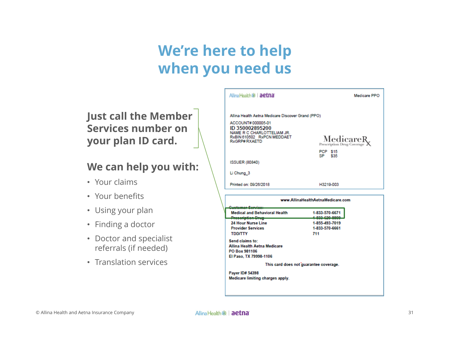## **We're here to help when you need us**

**Just call the Member Services number on your plan ID card.** 

#### **We can help you with:**

- Your claims
- Your benefits
- Using your plan
- Finding a doctor
- Doctor and specialist referrals (if needed)
- Translation services

|                                                                                                                  | Medicare PPO                             |  |
|------------------------------------------------------------------------------------------------------------------|------------------------------------------|--|
| Allina Health Aetna Medicare Discover Grand (PPO)                                                                |                                          |  |
| ACCOUNT#000005-01<br>ID 350002895200<br>NAME R C CHARLOTTELIAM JR.<br>RxBIN 610502 RxPCN MEDDAET<br>RxGRP#RXAETD | MedicareR.<br>Prescription Drug Coverage |  |
|                                                                                                                  | <b>PCP \$15</b><br>SP \$35               |  |
| <b>ISSUER (80840)</b>                                                                                            |                                          |  |
| Li Chung 3                                                                                                       |                                          |  |
| Printed on: 09/26/2018                                                                                           | H3219-003                                |  |
|                                                                                                                  | www.AllinaHealthAetnaMedicare.com        |  |
| <b>Medical and Behavioral Health</b>                                                                             | 1-833-570-6671                           |  |
| Prescription Drug-                                                                                               | 1,833,630,8808                           |  |
| 24 Hour Nurse Line                                                                                               | 1-855-493-7019                           |  |
| <b>Provider Services</b><br><b>TDD/TTY</b>                                                                       | 1-833-570-6661<br>711                    |  |
|                                                                                                                  |                                          |  |
| Send claims to:<br>Allina Health Aetna Medicare<br>PO Box 981106                                                 |                                          |  |

This card does not quarantee coverage.

Payer ID# 54398 Medicare limiting charges apply.

El Paso, TX 79998-1106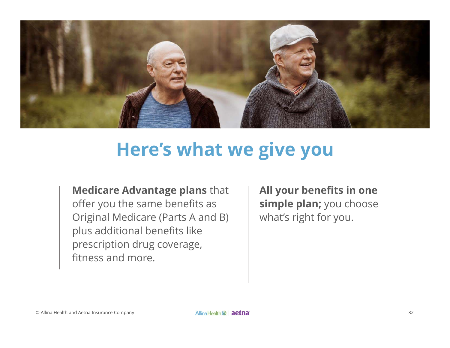

## **Here's what we give you**

**Medicare Advantage plans** that offer you the same benefits as Original Medicare (Parts A and B) plus additional benefits like prescription drug coverage, fitness and more.

**All your benefits in one simple plan;** you choose what's right for you.

© Allina Health and Aetna Insurance Company **Company Allina Health 帝 | aetna** and and actor and actor and the structure of the structure of the structure of the structure of the structure of the structure of the structure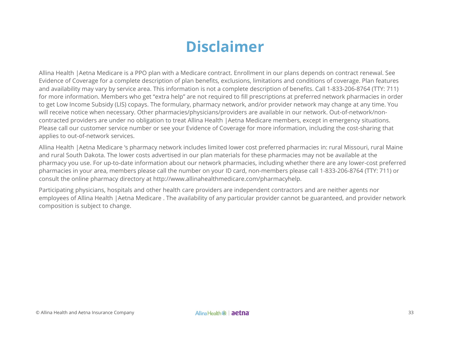## **Disclaimer**

Allina Health |Aetna Medicare is a PPO plan with a Medicare contract. Enrollment in our plans depends on contract renewal. See Evidence of Coverage for a complete description of plan benefits, exclusions, limitations and conditions of coverage. Plan features and availability may vary by service area. This information is not a complete description of benefits. Call 1-833-206-8764 (TTY: 711) for more information. Members who get "extra help" are not required to fill prescriptions at preferred network pharmacies in order to get Low Income Subsidy (LIS) copays. The formulary, pharmacy network, and/or provider network may change at any time. You will receive notice when necessary. Other pharmacies/physicians/providers are available in our network. Out-of-network/noncontracted providers are under no obligation to treat Allina Health |Aetna Medicare members, except in emergency situations. Please call our customer service number or see your Evidence of Coverage for more information, including the cost-sharing that applies to out-of-network services.

Allina Health |Aetna Medicare 's pharmacy network includes limited lower cost preferred pharmacies in: rural Missouri, rural Maine and rural South Dakota. The lower costs advertised in our plan materials for these pharmacies may not be available at the pharmacy you use. For up-to-date information about our network pharmacies, including whether there are any lower-cost preferred pharmacies in your area, members please call the number on your ID card, non-members please call 1-833-206-8764 (TTY: 711) or consult the online pharmacy directory at http://www.allinahealthmedicare.com/pharmacyhelp.

Participating physicians, hospitals and other health care providers are independent contractors and are neither agents nor employees of Allina Health |Aetna Medicare . The availability of any particular provider cannot be guaranteed, and provider network composition is subject to change.